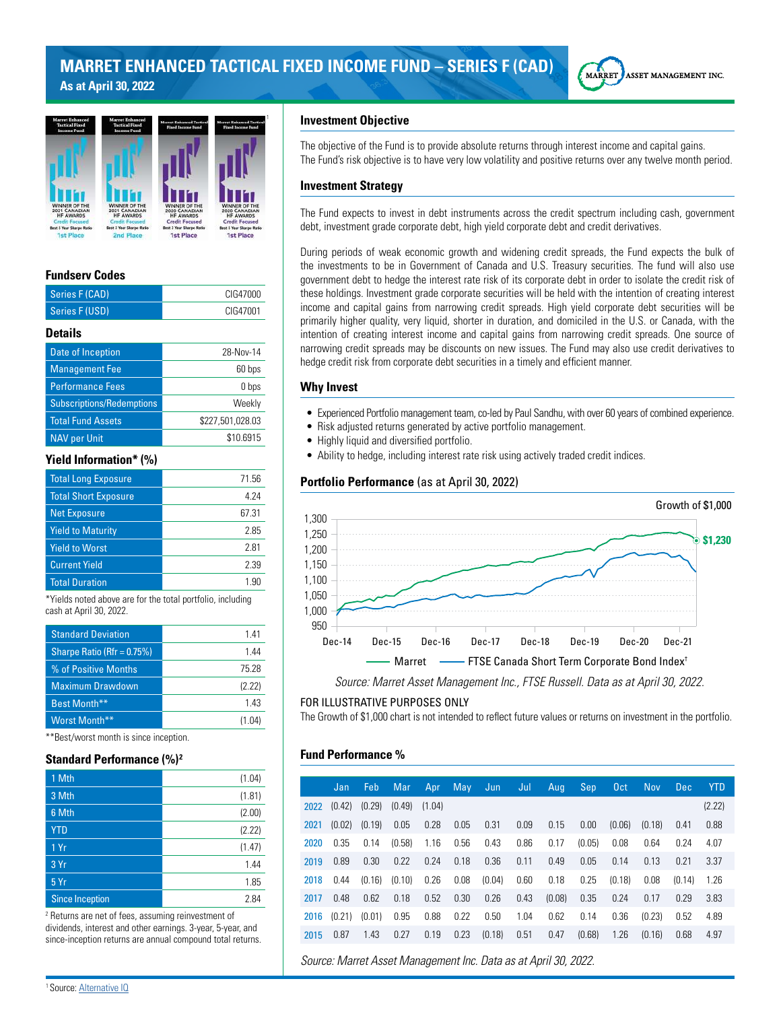



# **Fundserv Codes**

| Series F (CAD)                                             | CIG47000         |
|------------------------------------------------------------|------------------|
| Series F (USD)                                             | CIG47001         |
| <b>Details</b>                                             |                  |
| Date of Inception                                          | 28-Nov-14        |
| <b>Management Fee</b>                                      | 60 bps           |
| <b>Performance Fees</b>                                    | 0 bps            |
| <b>Subscriptions/Redemptions</b>                           | Weekly           |
| <b>Total Fund Assets</b>                                   | \$227,501,028.03 |
| <b>NAV per Unit</b>                                        | \$10.6915        |
| <b>Yield Information* (%)</b>                              |                  |
| <b>Total Long Exposure</b>                                 | 71.56            |
| <b>Total Short Exposure</b>                                | 4.24             |
| <b>Net Exposure</b>                                        | 67.31            |
| <b>Yield to Maturity</b>                                   | 2.85             |
| <b>Yield to Worst</b>                                      | 2.81             |
| <b>Current Yield</b>                                       | 2.39             |
| <b>Total Duration</b>                                      | 1.90             |
| *Violde pated above are for the total pertfolio, including |                  |

Yields noted above are for the total cash at April 30, 2022.

| <b>Standard Deviation</b>  | 141    |
|----------------------------|--------|
| Sharpe Ratio (Rfr = 0.75%) | 144    |
| % of Positive Months       | 75.28  |
| <b>Maximum Drawdown</b>    | (2.22) |
| Best Month**               | 143    |
| Worst Month**              | (1.04) |

\*\*Best/worst month is since inception.

## **Standard Performance (%)<sup>2</sup>**

| 1 Mth                  | (1.04) |
|------------------------|--------|
| 3 Mth                  | (1.81) |
| 6 Mth                  | (2.00) |
| <b>YTD</b>             | (2.22) |
| 1 Yr                   | (1.47) |
| 3 Yr                   | 1.44   |
| 5Yr                    | 1.85   |
| <b>Since Inception</b> | 2.84   |

2 Returns are net of fees, assuming reinvestment of dividends, interest and other earnings. 3-year, 5-year, and since-inception returns are annual compound total returns.

## **Investment Objective**

The objective of the Fund is to provide absolute returns through interest income and capital gains. The Fund's risk objective is to have very low volatility and positive returns over any twelve month period.

## **Investment Strategy**

The Fund expects to invest in debt instruments across the credit spectrum including cash, government debt, investment grade corporate debt, high yield corporate debt and credit derivatives.

During periods of weak economic growth and widening credit spreads, the Fund expects the bulk of the investments to be in Government of Canada and U.S. Treasury securities. The fund will also use government debt to hedge the interest rate risk of its corporate debt in order to isolate the credit risk of these holdings. Investment grade corporate securities will be held with the intention of creating interest income and capital gains from narrowing credit spreads. High yield corporate debt securities will be primarily higher quality, very liquid, shorter in duration, and domiciled in the U.S. or Canada, with the intention of creating interest income and capital gains from narrowing credit spreads. One source of narrowing credit spreads may be discounts on new issues. The Fund may also use credit derivatives to hedge credit risk from corporate debt securities in a timely and efficient manner.

#### **Why Invest**

- Experienced Portfolio management team, co-led by Paul Sandhu, with over 60 years of combined experience.
- Risk adjusted returns generated by active portfolio management.
- Highly liquid and diversified portfolio.
- Ability to hedge, including interest rate risk using actively traded credit indices.

## **Portfolio Performance** (as at April 30, 2022)



*Source: Marret Asset Management Inc., FTSE Russell. Data as at April 30, 2022.*

#### FOR ILLUSTRATIVE PURPOSES ONLY

The Growth of \$1,000 chart is not intended to reflect future values or returns on investment in the portfolio.

## **Fund Performance %**

|      | Jan    | Feb    | Mar    | Apr    | May  | Jun    | Jul  | Aug    | Sep    | 0 <sub>ct</sub> | <b>Nov</b> | <b>Dec</b> | <b>YTD</b> |
|------|--------|--------|--------|--------|------|--------|------|--------|--------|-----------------|------------|------------|------------|
| 2022 | (0.42) | (0.29) | (0.49) | (1.04) |      |        |      |        |        |                 |            |            | (2.22)     |
|      |        |        |        |        |      |        |      |        |        |                 |            |            |            |
| 2021 | (0.02) | (0.19) | 0.05   | 0.28   | 0.05 | 0.31   | 0.09 | 0.15   | 0.00   | (0.06)          | (0.18)     | 0.41       | 0.88       |
| 2020 | 0.35   | 0.14   | (0.58) | 1.16   | 0.56 | 0.43   | 0.86 | 0.17   | (0.05) | 0.08            | 0.64       | 0.24       | 4.07       |
| 2019 | 0.89   | 0.30   | 0.22   | 0.24   | 0.18 | 0.36   | 0.11 | 0.49   | 0.05   | 0.14            | 0.13       | 0.21       | 3.37       |
| 2018 | 0.44   | (0.16) | (0.10) | 0.26   | 0.08 | (0.04) | 0.60 | 0.18   | 0.25   | (0.18)          | 0.08       | (0.14)     | 1.26       |
| 2017 | 0.48   | 0.62   | 0.18   | 0.52   | 0.30 | 0.26   | 0.43 | (0.08) | 0.35   | 0.24            | 0.17       | 0.29       | 3.83       |
| 2016 | (0.21) | (0.01) | 0.95   | 0.88   | 0.22 | 0.50   | 1.04 | 0.62   | 0.14   | 0.36            | (0.23)     | 0.52       | 4.89       |
| 2015 | 0.87   | 1.43   | 0.27   | 0.19   | 0.23 | (0.18) | 0.51 | 0.47   | (0.68) | 1.26            | (0.16)     | 0.68       | 4.97       |

*Source: Marret Asset Management Inc. Data as at April 30, 2022.*